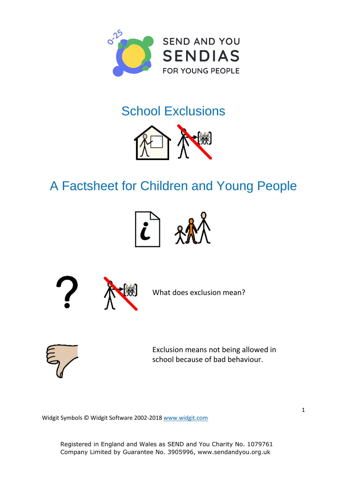

## School Exclusions



## A Factsheet for Children and Young People





What does exclusion mean?



Exclusion means not being allowed in school because of bad behaviour.

Widgit Symbols © Widgit Software 2002-201[8 www.widgit.com](http://www.widgit.com/)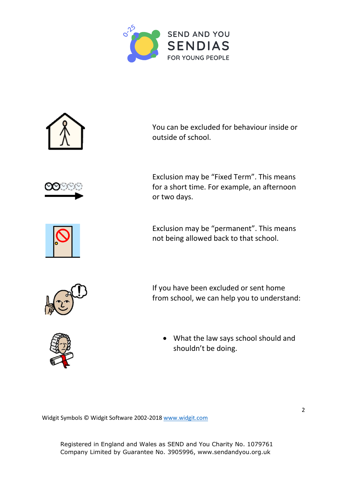



Widgit Symbols © Widgit Software 2002-201[8 www.widgit.com](http://www.widgit.com/)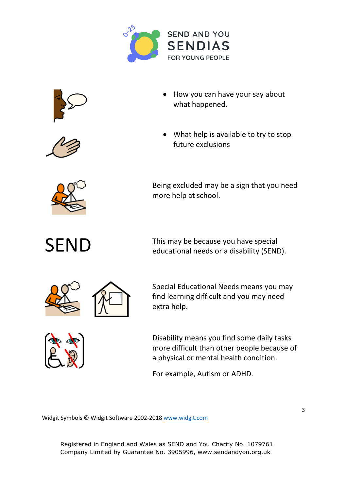





- How you can have your say about what happened.
- What help is available to try to stop future exclusions



Being excluded may be a sign that you need more help at school.

SEND This may be because you have special<br>
educational needs or a disability (SEND).



Special Educational Needs means you may find learning difficult and you may need extra help.



Disability means you find some daily tasks more difficult than other people because of a physical or mental health condition.

For example, Autism or ADHD.

Widgit Symbols © Widgit Software 2002-201[8 www.widgit.com](http://www.widgit.com/)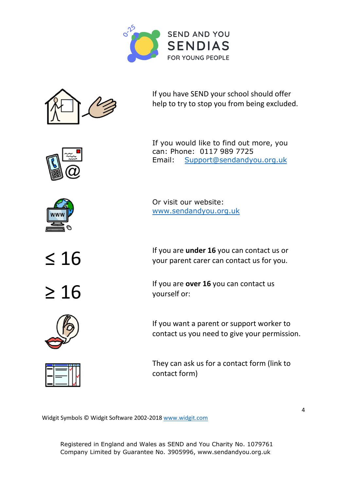



If you have SEND your school should offer help to try to stop you from being excluded.





Or visit our website: [www.sendandyou.org.uk](http://www.sendandyou.org.uk/)





≤ 16 If you are **under 16** you can contact us or your parent carer can contact us for you.

**Example 16** If you are **over 16** you can contact us yourself or: yourself or:

> If you want a parent or support worker to contact us you need to give your permission.

They can ask us for a contact form (link to contact form)

Widgit Symbols © Widgit Software 2002-201[8 www.widgit.com](http://www.widgit.com/)